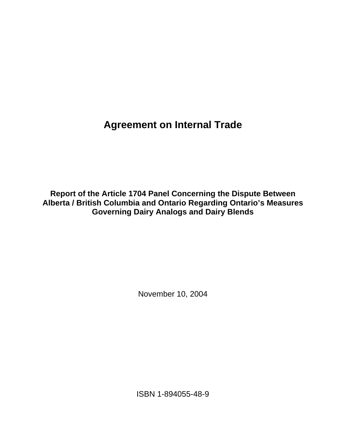**Agreement on Internal Trade**

**Report of the Article 1704 Panel Concerning the Dispute Between Alberta / British Columbia and Ontario Regarding Ontario's Measures Governing Dairy Analogs and Dairy Blends** 

November 10, 2004

ISBN 1-894055-48-9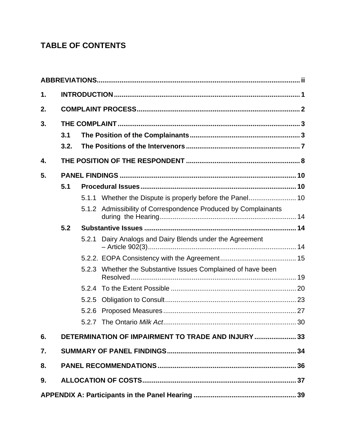# **TABLE OF CONTENTS**

| 1. |      |       |                                                                |  |  |
|----|------|-------|----------------------------------------------------------------|--|--|
| 2. |      |       |                                                                |  |  |
| 3. |      |       |                                                                |  |  |
|    | 3.1  |       |                                                                |  |  |
|    | 3.2. |       |                                                                |  |  |
| 4. |      |       |                                                                |  |  |
| 5. |      |       |                                                                |  |  |
|    | 5.1  |       |                                                                |  |  |
|    |      |       | 5.1.1 Whether the Dispute is properly before the Panel 10      |  |  |
|    |      |       | 5.1.2 Admissibility of Correspondence Produced by Complainants |  |  |
|    | 5.2  |       |                                                                |  |  |
|    |      |       | 5.2.1 Dairy Analogs and Dairy Blends under the Agreement       |  |  |
|    |      |       |                                                                |  |  |
|    |      |       | 5.2.3 Whether the Substantive Issues Complained of have been   |  |  |
|    |      |       |                                                                |  |  |
|    |      | 5.2.5 |                                                                |  |  |
|    |      |       |                                                                |  |  |
|    |      | 5.2.7 |                                                                |  |  |
| 6. |      |       | DETERMINATION OF IMPAIRMENT TO TRADE AND INJURY  33            |  |  |
| 7. |      |       |                                                                |  |  |
| 8. |      |       |                                                                |  |  |
| 9. |      |       |                                                                |  |  |
|    |      |       |                                                                |  |  |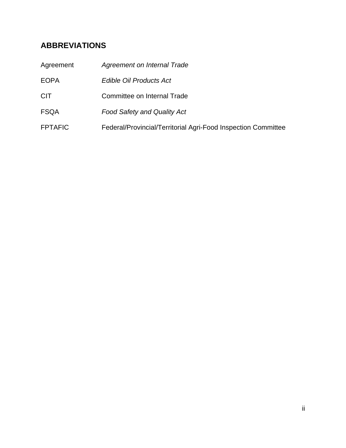# **ABBREVIATIONS**

| Agreement      | Agreement on Internal Trade                                   |
|----------------|---------------------------------------------------------------|
| <b>EOPA</b>    | Edible Oil Products Act                                       |
| <b>CIT</b>     | Committee on Internal Trade                                   |
| <b>FSQA</b>    | <b>Food Safety and Quality Act</b>                            |
| <b>FPTAFIC</b> | Federal/Provincial/Territorial Agri-Food Inspection Committee |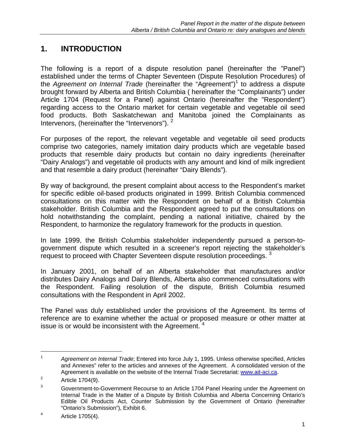# **1. INTRODUCTION**

The following is a report of a dispute resolution panel (hereinafter the "Panel") established under the terms of Chapter Seventeen (Dispute Resolution Procedures) of the *Agreement on Internal Trade* (hereinafter the "Agreement")<sup>1</sup> to address a dispute brought forward by Alberta and British Columbia ( hereinafter the "Complainants") under Article 1704 (Request for a Panel) against Ontario (hereinafter the "Respondent") regarding access to the Ontario market for certain vegetable and vegetable oil seed food products. Both Saskatchewan and Manitoba joined the Complainants as Intervenors, (hereinafter the "Intervenors"). <sup>2</sup>

For purposes of the report, the relevant vegetable and vegetable oil seed products comprise two categories, namely imitation dairy products which are vegetable based products that resemble dairy products but contain no dairy ingredients (hereinafter "Dairy Analogs") and vegetable oil products with any amount and kind of milk ingredient and that resemble a dairy product (hereinafter "Dairy Blends").

By way of background, the present complaint about access to the Respondent's market for specific edible oil-based products originated in 1999. British Columbia commenced consultations on this matter with the Respondent on behalf of a British Columbia stakeholder. British Columbia and the Respondent agreed to put the consultations on hold notwithstanding the complaint, pending a national initiative, chaired by the Respondent, to harmonize the regulatory framework for the products in question.

In late 1999, the British Columbia stakeholder independently pursued a person-togovernment dispute which resulted in a screener's report rejecting the stakeholder's request to proceed with Chapter Seventeen dispute resolution proceedings. <sup>3</sup>

In January 2001, on behalf of an Alberta stakeholder that manufactures and/or distributes Dairy Analogs and Dairy Blends, Alberta also commenced consultations with the Respondent. Failing resolution of the dispute, British Columbia resumed consultations with the Respondent in April 2002.

The Panel was duly established under the provisions of the Agreement. Its terms of reference are to examine whether the actual or proposed measure or other matter at issue is or would be inconsistent with the Agreement.  $4\overline{ }$ 

l

<sup>1</sup> *Agreement on Internal Trade*; Entered into force July 1, 1995. Unless otherwise specified, Articles and Annexes" refer to the articles and annexes of the Agreement. A consolidated version of the Agreement is available on the website of the Internal Trade Secretariat: www.ait-aci.ca.

Article 1704(9).

<sup>3</sup> Government-to-Government Recourse to an Article 1704 Panel Hearing under the Agreement on Internal Trade in the Matter of a Dispute by British Columbia and Alberta Concerning Ontario's Edible Oil Products Act, Counter Submission by the Government of Ontario (hereinafter "Ontario's Submission"), Exhibit 6.

Article 1705(4).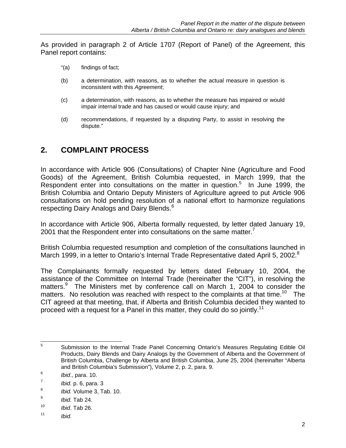As provided in paragraph 2 of Article 1707 (Report of Panel) of the Agreement, this Panel report contains:

- "(a) findings of fact;
- (b) a determination, with reasons, as to whether the actual measure in question is inconsistent with this *Agreement*;
- (c) a determination, with reasons, as to whether the measure has impaired or would impair internal trade and has caused or would cause injury; and
- (d) recommendations, if requested by a disputing Party, to assist in resolving the dispute."

## **2. COMPLAINT PROCESS**

In accordance with Article 906 (Consultations) of Chapter Nine (Agriculture and Food Goods) of the Agreement, British Columbia requested, in March 1999, that the Respondent enter into consultations on the matter in question.<sup>5</sup> In June 1999, the British Columbia and Ontario Deputy Ministers of Agriculture agreed to put Article 906 consultations on hold pending resolution of a national effort to harmonize regulations respecting Dairy Analogs and Dairy Blends.<sup>6</sup>

In accordance with Article 906, Alberta formally requested, by letter dated January 19, 2001 that the Respondent enter into consultations on the same matter. $<sup>7</sup>$ </sup>

British Columbia requested resumption and completion of the consultations launched in March 1999, in a letter to Ontario's Internal Trade Representative dated April 5, 2002.<sup>8</sup>

The Complainants formally requested by letters dated February 10, 2004, the assistance of the Committee on Internal Trade (hereinafter the "CIT"), in resolving the matters.<sup>9</sup> The Ministers met by conference call on March 1, 2004 to consider the matters. No resolution was reached with respect to the complaints at that time.<sup>10</sup> The CIT agreed at that meeting, that, if Alberta and British Columbia decided they wanted to proceed with a request for a Panel in this matter, they could do so jointly.<sup>11</sup>

 $5\overline{)}$ <sup>5</sup> Submission to the Internal Trade Panel Concerning Ontario's Measures Regulating Edible Oil Products, Dairy Blends and Dairy Analogs by the Government of Alberta and the Government of British Columbia, Challenge by Alberta and British Columbia, June 25, 2004 (hereinafter "Alberta and British Columbia's Submission"), Volume 2, p. 2, para. 9.

<sup>6</sup> *Ibid*., para. 10.

<sup>7</sup> *Ibid.* p. 6, para. 3

<sup>8</sup> *Ibid.* Volume 3, Tab. 10.

<sup>9</sup> *Ibid.* Tab 24.

<sup>10</sup> *Ibid*. Tab 26.

<sup>11</sup> *Ibid.*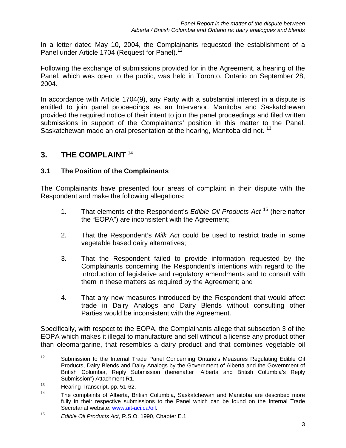In a letter dated May 10, 2004, the Complainants requested the establishment of a Panel under Article 1704 (Request for Panel).<sup>12</sup>

Following the exchange of submissions provided for in the Agreement, a hearing of the Panel, which was open to the public, was held in Toronto, Ontario on September 28, 2004.

In accordance with Article 1704(9), any Party with a substantial interest in a dispute is entitled to join panel proceedings as an Intervenor. Manitoba and Saskatchewan provided the required notice of their intent to join the panel proceedings and filed written submissions in support of the Complainants' position in this matter to the Panel. Saskatchewan made an oral presentation at the hearing, Manitoba did not.<sup>13</sup>

## **3. THE COMPLAINT** <sup>14</sup>

### **3.1 The Position of the Complainants**

The Complainants have presented four areas of complaint in their dispute with the Respondent and make the following allegations:

- 1. That elements of the Respondent's *Edible Oil Products Act* 15 (hereinafter the "EOPA") are inconsistent with the Agreement;
- 2. That the Respondent's *Milk Act* could be used to restrict trade in some vegetable based dairy alternatives;
- 3. That the Respondent failed to provide information requested by the Complainants concerning the Respondent's intentions with regard to the introduction of legislative and regulatory amendments and to consult with them in these matters as required by the Agreement; and
- 4. That any new measures introduced by the Respondent that would affect trade in Dairy Analogs and Dairy Blends without consulting other Parties would be inconsistent with the Agreement.

Specifically, with respect to the EOPA, the Complainants allege that subsection 3 of the EOPA which makes it illegal to manufacture and sell without a license any product other than oleomargarine, that resembles a dairy product and that combines vegetable oil

 $12$ 12 Submission to the Internal Trade Panel Concerning Ontario's Measures Regulating Edible Oil Products, Dairy Blends and Dairy Analogs by the Government of Alberta and the Government of British Columbia, Reply Submission (hereinafter "Alberta and British Columbia's Reply Submission") Attachment R1.

<sup>&</sup>lt;sup>13</sup> Hearing Transcript, pp. 51-62.

<sup>&</sup>lt;sup>14</sup> The complaints of Alberta, British Columbia, Saskatchewan and Manitoba are described more fully in their respective submissions to the Panel which can be found on the Internal Trade Secretariat website: www.ait-aci.ca/oil.

<sup>15</sup> *Edible Oil Products Act*, R.S.O. 1990, Chapter E.1.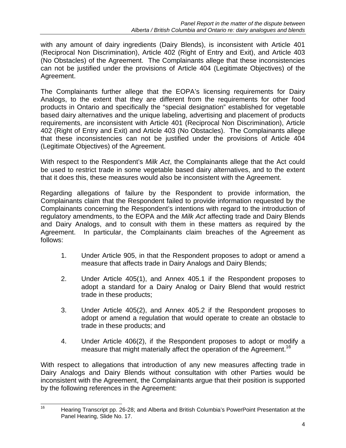with any amount of dairy ingredients (Dairy Blends), is inconsistent with Article 401 (Reciprocal Non Discrimination), Article 402 (Right of Entry and Exit), and Article 403 (No Obstacles) of the Agreement. The Complainants allege that these inconsistencies can not be justified under the provisions of Article 404 (Legitimate Objectives) of the Agreement.

The Complainants further allege that the EOPA's licensing requirements for Dairy Analogs, to the extent that they are different from the requirements for other food products in Ontario and specifically the "special designation" established for vegetable based dairy alternatives and the unique labeling, advertising and placement of products requirements, are inconsistent with Article 401 (Reciprocal Non Discrimination), Article 402 (Right of Entry and Exit) and Article 403 (No Obstacles). The Complainants allege that these inconsistencies can not be justified under the provisions of Article 404 (Legitimate Objectives) of the Agreement.

With respect to the Respondent's *Milk Act*, the Complainants allege that the Act could be used to restrict trade in some vegetable based dairy alternatives, and to the extent that it does this, these measures would also be inconsistent with the Agreement.

Regarding allegations of failure by the Respondent to provide information, the Complainants claim that the Respondent failed to provide information requested by the Complainants concerning the Respondent's intentions with regard to the introduction of regulatory amendments, to the EOPA and the *Milk Act* affecting trade and Dairy Blends and Dairy Analogs, and to consult with them in these matters as required by the Agreement. In particular, the Complainants claim breaches of the Agreement as follows:

- 1. Under Article 905, in that the Respondent proposes to adopt or amend a measure that affects trade in Dairy Analogs and Dairy Blends;
- 2. Under Article 405(1), and Annex 405.1 if the Respondent proposes to adopt a standard for a Dairy Analog or Dairy Blend that would restrict trade in these products;
- 3. Under Article 405(2), and Annex 405.2 if the Respondent proposes to adopt or amend a regulation that would operate to create an obstacle to trade in these products; and
- 4. Under Article 406(2), if the Respondent proposes to adopt or modify a measure that might materially affect the operation of the Agreement.<sup>16</sup>

With respect to allegations that introduction of any new measures affecting trade in Dairy Analogs and Dairy Blends without consultation with other Parties would be inconsistent with the Agreement, the Complainants argue that their position is supported by the following references in the Agreement:

 $16$ 16 Hearing Transcript pp. 26-28; and Alberta and British Columbia's PowerPoint Presentation at the Panel Hearing, Slide No. 17.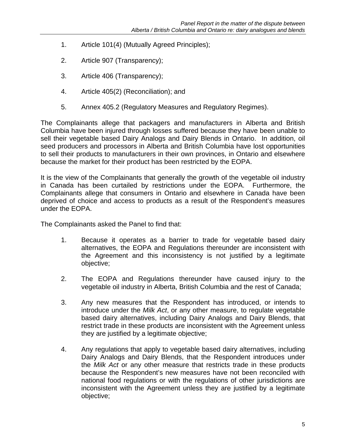- 1. Article 101(4) (Mutually Agreed Principles);
- 2. Article 907 (Transparency);
- 3. Article 406 (Transparency);
- 4. Article 405(2) (Reconciliation); and
- 5. Annex 405.2 (Regulatory Measures and Regulatory Regimes).

The Complainants allege that packagers and manufacturers in Alberta and British Columbia have been injured through losses suffered because they have been unable to sell their vegetable based Dairy Analogs and Dairy Blends in Ontario. In addition, oil seed producers and processors in Alberta and British Columbia have lost opportunities to sell their products to manufacturers in their own provinces, in Ontario and elsewhere because the market for their product has been restricted by the EOPA.

It is the view of the Complainants that generally the growth of the vegetable oil industry in Canada has been curtailed by restrictions under the EOPA. Furthermore, the Complainants allege that consumers in Ontario and elsewhere in Canada have been deprived of choice and access to products as a result of the Respondent's measures under the EOPA.

The Complainants asked the Panel to find that:

- 1. Because it operates as a barrier to trade for vegetable based dairy alternatives, the EOPA and Regulations thereunder are inconsistent with the Agreement and this inconsistency is not justified by a legitimate objective;
- 2. The EOPA and Regulations thereunder have caused injury to the vegetable oil industry in Alberta, British Columbia and the rest of Canada;
- 3. Any new measures that the Respondent has introduced, or intends to introduce under the *Milk Act*, or any other measure, to regulate vegetable based dairy alternatives, including Dairy Analogs and Dairy Blends, that restrict trade in these products are inconsistent with the Agreement unless they are justified by a legitimate objective;
- 4. Any regulations that apply to vegetable based dairy alternatives, including Dairy Analogs and Dairy Blends, that the Respondent introduces under the *Milk Act* or any other measure that restricts trade in these products because the Respondent's new measures have not been reconciled with national food regulations or with the regulations of other jurisdictions are inconsistent with the Agreement unless they are justified by a legitimate objective;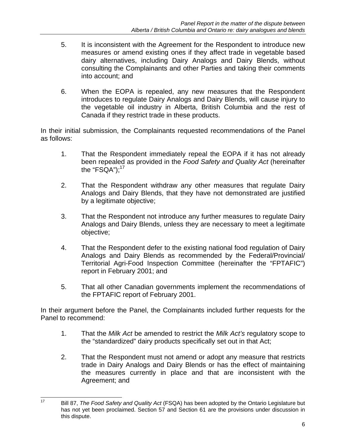- 5. It is inconsistent with the Agreement for the Respondent to introduce new measures or amend existing ones if they affect trade in vegetable based dairy alternatives, including Dairy Analogs and Dairy Blends, without consulting the Complainants and other Parties and taking their comments into account; and
- 6. When the EOPA is repealed, any new measures that the Respondent introduces to regulate Dairy Analogs and Dairy Blends, will cause injury to the vegetable oil industry in Alberta, British Columbia and the rest of Canada if they restrict trade in these products.

In their initial submission, the Complainants requested recommendations of the Panel as follows:

- 1. That the Respondent immediately repeal the EOPA if it has not already been repealed as provided in the *Food Safety and Quality Act* (hereinafter the "FSQA"); $^{17}$
- 2. That the Respondent withdraw any other measures that regulate Dairy Analogs and Dairy Blends, that they have not demonstrated are justified by a legitimate objective;
- 3. That the Respondent not introduce any further measures to regulate Dairy Analogs and Dairy Blends, unless they are necessary to meet a legitimate objective;
- 4. That the Respondent defer to the existing national food regulation of Dairy Analogs and Dairy Blends as recommended by the Federal/Provincial/ Territorial Agri-Food Inspection Committee (hereinafter the "FPTAFIC") report in February 2001; and
- 5. That all other Canadian governments implement the recommendations of the FPTAFIC report of February 2001.

In their argument before the Panel, the Complainants included further requests for the Panel to recommend:

- 1. That the *Milk Act* be amended to restrict the *Milk Act's* regulatory scope to the "standardized" dairy products specifically set out in that Act;
- 2. That the Respondent must not amend or adopt any measure that restricts trade in Dairy Analogs and Dairy Blends or has the effect of maintaining the measures currently in place and that are inconsistent with the Agreement; and

 $17$ 17 Bill 87, *The Food Safety and Quality Act* (FSQA) has been adopted by the Ontario Legislature but has not yet been proclaimed. Section 57 and Section 61 are the provisions under discussion in this dispute.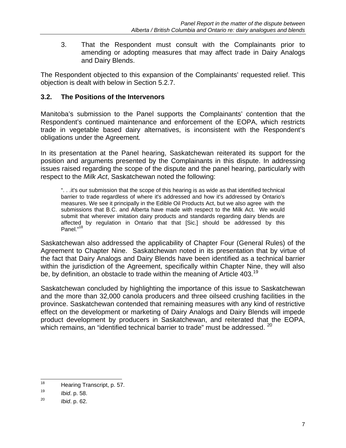3. That the Respondent must consult with the Complainants prior to amending or adopting measures that may affect trade in Dairy Analogs and Dairy Blends.

The Respondent objected to this expansion of the Complainants' requested relief. This objection is dealt with below in Section 5.2.7.

## **3.2. The Positions of the Intervenors**

Manitoba's submission to the Panel supports the Complainants' contention that the Respondent's continued maintenance and enforcement of the EOPA, which restricts trade in vegetable based dairy alternatives, is inconsistent with the Respondent's obligations under the Agreement*.* 

In its presentation at the Panel hearing, Saskatchewan reiterated its support for the position and arguments presented by the Complainants in this dispute. In addressing issues raised regarding the scope of the dispute and the panel hearing, particularly with respect to the *Milk Act*, Saskatchewan noted the following:

 ". . .it's our submission that the scope of this hearing is as wide as that identified technical barrier to trade regardless of where it's addressed and how it's addressed by Ontario's measures. We see it principally in the Edible Oil Products Act, but we also agree with the submissions that B.C. and Alberta have made with respect to the Milk Act. We would submit that wherever imitation dairy products and standards regarding dairy blends are affected by regulation in Ontario that that [Sic.] should be addressed by this Panel."<sup>18</sup>

Saskatchewan also addressed the applicability of Chapter Four (General Rules) of the Agreement to Chapter Nine. Saskatchewan noted in its presentation that by virtue of the fact that Dairy Analogs and Dairy Blends have been identified as a technical barrier within the jurisdiction of the Agreement, specifically within Chapter Nine, they will also be, by definition, an obstacle to trade within the meaning of Article 403.<sup>19</sup>

Saskatchewan concluded by highlighting the importance of this issue to Saskatchewan and the more than 32,000 canola producers and three oilseed crushing facilities in the province. Saskatchewan contended that remaining measures with any kind of restrictive effect on the development or marketing of Dairy Analogs and Dairy Blends will impede product development by producers in Saskatchewan, and reiterated that the EOPA, which remains, an "identified technical barrier to trade" must be addressed. <sup>20</sup>

<sup>18</sup> Hearing Transcript, p. 57.

<sup>19</sup> *Ibid*. p. 58.

<sup>20</sup> *Ibid*. p. 62.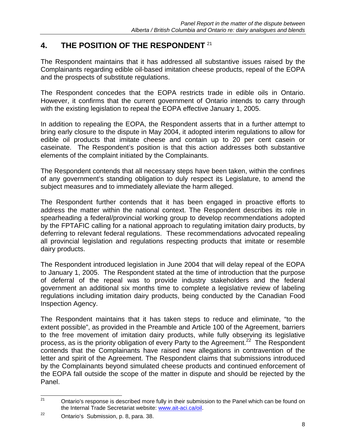# **4. THE POSITION OF THE RESPONDENT** <sup>21</sup>

The Respondent maintains that it has addressed all substantive issues raised by the Complainants regarding edible oil-based imitation cheese products, repeal of the EOPA and the prospects of substitute regulations.

The Respondent concedes that the EOPA restricts trade in edible oils in Ontario. However, it confirms that the current government of Ontario intends to carry through with the existing legislation to repeal the EOPA effective January 1, 2005.

In addition to repealing the EOPA, the Respondent asserts that in a further attempt to bring early closure to the dispute in May 2004, it adopted interim regulations to allow for edible oil products that imitate cheese and contain up to 20 per cent casein or caseinate. The Respondent's position is that this action addresses both substantive elements of the complaint initiated by the Complainants.

The Respondent contends that all necessary steps have been taken, within the confines of any government's standing obligation to duly respect its Legislature, to amend the subject measures and to immediately alleviate the harm alleged.

The Respondent further contends that it has been engaged in proactive efforts to address the matter within the national context. The Respondent describes its role in spearheading a federal/provincial working group to develop recommendations adopted by the FPTAFIC calling for a national approach to regulating imitation dairy products, by deferring to relevant federal regulations. These recommendations advocated repealing all provincial legislation and regulations respecting products that imitate or resemble dairy products.

The Respondent introduced legislation in June 2004 that will delay repeal of the EOPA to January 1, 2005. The Respondent stated at the time of introduction that the purpose of deferral of the repeal was to provide industry stakeholders and the federal government an additional six months time to complete a legislative review of labeling regulations including imitation dairy products, being conducted by the Canadian Food Inspection Agency.

The Respondent maintains that it has taken steps to reduce and eliminate, "to the extent possible", as provided in the Preamble and Article 100 of the Agreement, barriers to the free movement of imitation dairy products, while fully observing its legislative process, as is the priority obligation of every Party to the Agreement.<sup>22</sup> The Respondent contends that the Complainants have raised new allegations in contravention of the letter and spirit of the Agreement. The Respondent claims that submissions introduced by the Complainants beyond simulated cheese products and continued enforcement of the EOPA fall outside the scope of the matter in dispute and should be rejected by the Panel.

 $21$ Ontario's response is described more fully in their submission to the Panel which can be found on the Internal Trade Secretariat website: www.ait-aci.ca/oil.

<sup>22</sup> Ontario's Submission, p. 8, para. 38.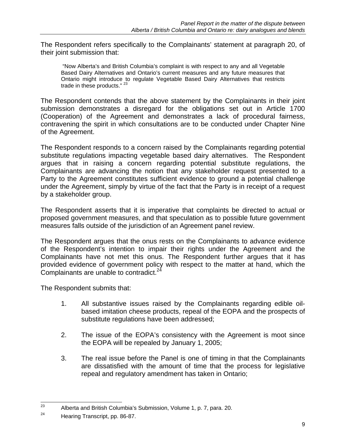The Respondent refers specifically to the Complainants' statement at paragraph 20, of their joint submission that:

 "Now Alberta's and British Columbia's complaint is with respect to any and all Vegetable Based Dairy Alternatives and Ontario's current measures and any future measures that Ontario might introduce to regulate Vegetable Based Dairy Alternatives that restricts trade in these products." 23

The Respondent contends that the above statement by the Complainants in their joint submission demonstrates a disregard for the obligations set out in Article 1700 (Cooperation) of the Agreement and demonstrates a lack of procedural fairness, contravening the spirit in which consultations are to be conducted under Chapter Nine of the Agreement.

The Respondent responds to a concern raised by the Complainants regarding potential substitute regulations impacting vegetable based dairy alternatives. The Respondent argues that in raising a concern regarding potential substitute regulations, the Complainants are advancing the notion that any stakeholder request presented to a Party to the Agreement constitutes sufficient evidence to ground a potential challenge under the Agreement, simply by virtue of the fact that the Party is in receipt of a request by a stakeholder group.

The Respondent asserts that it is imperative that complaints be directed to actual or proposed government measures, and that speculation as to possible future government measures falls outside of the jurisdiction of an Agreement panel review.

The Respondent argues that the onus rests on the Complainants to advance evidence of the Respondent's intention to impair their rights under the Agreement and the Complainants have not met this onus. The Respondent further argues that it has provided evidence of government policy with respect to the matter at hand, which the Complainants are unable to contradict. $24$ 

The Respondent submits that:

- 1. All substantive issues raised by the Complainants regarding edible oil based imitation cheese products, repeal of the EOPA and the prospects of substitute regulations have been addressed;
- 2. The issue of the EOPA's consistency with the Agreement is moot since the EOPA will be repealed by January 1, 2005;
- 3. The real issue before the Panel is one of timing in that the Complainants are dissatisfied with the amount of time that the process for legislative repeal and regulatory amendment has taken in Ontario;

<sup>23</sup> 23 Alberta and British Columbia's Submission, Volume 1, p. 7, para. 20.

<sup>&</sup>lt;sup>24</sup> Hearing Transcript, pp. 86-87.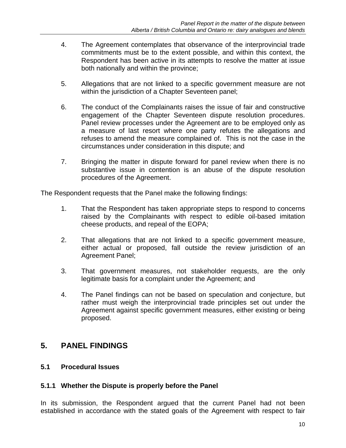- 4. The Agreement contemplates that observance of the interprovincial trade commitments must be to the extent possible, and within this context, the Respondent has been active in its attempts to resolve the matter at issue both nationally and within the province;
- 5. Allegations that are not linked to a specific government measure are not within the jurisdiction of a Chapter Seventeen panel;
- 6. The conduct of the Complainants raises the issue of fair and constructive engagement of the Chapter Seventeen dispute resolution procedures. Panel review processes under the Agreement are to be employed only as a measure of last resort where one party refutes the allegations and refuses to amend the measure complained of. This is not the case in the circumstances under consideration in this dispute; and
- 7. Bringing the matter in dispute forward for panel review when there is no substantive issue in contention is an abuse of the dispute resolution procedures of the Agreement.

The Respondent requests that the Panel make the following findings:

- 1. That the Respondent has taken appropriate steps to respond to concerns raised by the Complainants with respect to edible oil-based imitation cheese products, and repeal of the EOPA;
- 2. That allegations that are not linked to a specific government measure, either actual or proposed, fall outside the review jurisdiction of an Agreement Panel;
- 3. That government measures, not stakeholder requests, are the only legitimate basis for a complaint under the Agreement; and
- 4. The Panel findings can not be based on speculation and conjecture, but rather must weigh the interprovincial trade principles set out under the Agreement against specific government measures, either existing or being proposed.

## **5. PANEL FINDINGS**

### **5.1 Procedural Issues**

### **5.1.1 Whether the Dispute is properly before the Panel**

In its submission, the Respondent argued that the current Panel had not been established in accordance with the stated goals of the Agreement with respect to fair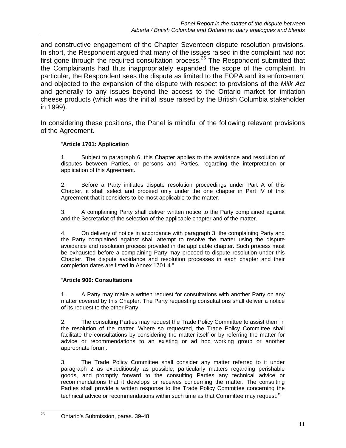and constructive engagement of the Chapter Seventeen dispute resolution provisions. In short, the Respondent argued that many of the issues raised in the complaint had not first gone through the required consultation process.<sup>25</sup> The Respondent submitted that the Complainants had thus inappropriately expanded the scope of the complaint. In particular, the Respondent sees the dispute as limited to the EOPA and its enforcement and objected to the expansion of the dispute with respect to provisions of the *Milk Act*  and generally to any issues beyond the access to the Ontario market for imitation cheese products (which was the initial issue raised by the British Columbia stakeholder in 1999).

In considering these positions, the Panel is mindful of the following relevant provisions of the Agreement.

#### "**Article 1701: Application**

1. Subject to paragraph 6, this Chapter applies to the avoidance and resolution of disputes between Parties, or persons and Parties, regarding the interpretation or application of this Agreement.

2. Before a Party initiates dispute resolution proceedings under Part A of this Chapter, it shall select and proceed only under the one chapter in Part IV of this Agreement that it considers to be most applicable to the matter.

3. A complaining Party shall deliver written notice to the Party complained against and the Secretariat of the selection of the applicable chapter and of the matter.

4. On delivery of notice in accordance with paragraph 3, the complaining Party and the Party complained against shall attempt to resolve the matter using the dispute avoidance and resolution process provided in the applicable chapter. Such process must be exhausted before a complaining Party may proceed to dispute resolution under this Chapter. The dispute avoidance and resolution processes in each chapter and their completion dates are listed in Annex 1701.4."

#### "**Article 906: Consultations**

1. A Party may make a written request for consultations with another Party on any matter covered by this Chapter. The Party requesting consultations shall deliver a notice of its request to the other Party.

2. The consulting Parties may request the Trade Policy Committee to assist them in the resolution of the matter. Where so requested, the Trade Policy Committee shall facilitate the consultations by considering the matter itself or by referring the matter for advice or recommendations to an existing or ad hoc working group or another appropriate forum.

3. The Trade Policy Committee shall consider any matter referred to it under paragraph 2 as expeditiously as possible, particularly matters regarding perishable goods, and promptly forward to the consulting Parties any technical advice or recommendations that it develops or receives concerning the matter. The consulting Parties shall provide a written response to the Trade Policy Committee concerning the technical advice or recommendations within such time as that Committee may request."

<sup>25</sup> 25 Ontario's Submission, paras. 39-48.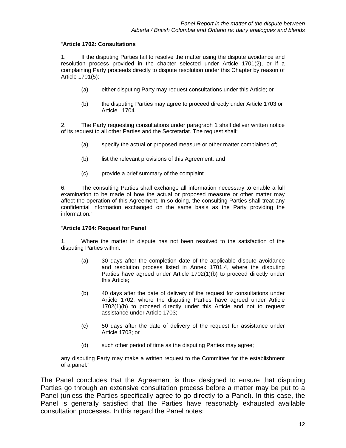#### "**Article 1702: Consultations**

1. If the disputing Parties fail to resolve the matter using the dispute avoidance and resolution process provided in the chapter selected under Article 1701(2), or if a complaining Party proceeds directly to dispute resolution under this Chapter by reason of Article 1701(5):

- (a) either disputing Party may request consultations under this Article; or
- (b) the disputing Parties may agree to proceed directly under Article 1703 or Article 1704.

2. The Party requesting consultations under paragraph 1 shall deliver written notice of its request to all other Parties and the Secretariat. The request shall:

- (a) specify the actual or proposed measure or other matter complained of;
- (b) list the relevant provisions of this Agreement; and
- (c) provide a brief summary of the complaint.

6. The consulting Parties shall exchange all information necessary to enable a full examination to be made of how the actual or proposed measure or other matter may affect the operation of this Agreement. In so doing, the consulting Parties shall treat any confidential information exchanged on the same basis as the Party providing the information."

#### "**Article 1704: Request for Panel**

1. Where the matter in dispute has not been resolved to the satisfaction of the disputing Parties within:

- (a) 30 days after the completion date of the applicable dispute avoidance and resolution process listed in Annex 1701.4, where the disputing Parties have agreed under Article 1702(1)(b) to proceed directly under this Article;
- (b) 40 days after the date of delivery of the request for consultations under Article 1702, where the disputing Parties have agreed under Article 1702(1)(b) to proceed directly under this Article and not to request assistance under Article 1703;
- (c) 50 days after the date of delivery of the request for assistance under Article 1703; or
- (d) such other period of time as the disputing Parties may agree;

any disputing Party may make a written request to the Committee for the establishment of a panel."

The Panel concludes that the Agreement is thus designed to ensure that disputing Parties go through an extensive consultation process before a matter may be put to a Panel (unless the Parties specifically agree to go directly to a Panel). In this case, the Panel is generally satisfied that the Parties have reasonably exhausted available consultation processes. In this regard the Panel notes: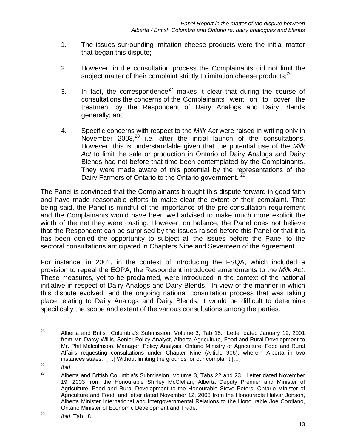- 1. The issues surrounding imitation cheese products were the initial matter that began this dispute;
- 2. However, in the consultation process the Complainants did not limit the subject matter of their complaint strictly to imitation cheese products;<sup>26</sup>
- 3. In fact, the correspondence<sup>27</sup> makes it clear that during the course of consultations the concerns of the Complainants went on to cover the treatment by the Respondent of Dairy Analogs and Dairy Blends generally; and
- 4. Specific concerns with respect to the *Milk Act* were raised in writing only in November  $2003$ ,  $28$  i.e. after the initial launch of the consultations. However, this is understandable given that the potential use of the *Milk Act* to limit the sale or production in Ontario of Dairy Analogs and Dairy Blends had not before that time been contemplated by the Complainants. They were made aware of this potential by the representations of the Dairy Farmers of Ontario to the Ontario government. <sup>29</sup>

The Panel is convinced that the Complainants brought this dispute forward in good faith and have made reasonable efforts to make clear the extent of their complaint. That being said, the Panel is mindful of the importance of the pre-consultation requirement and the Complainants would have been well advised to make much more explicit the width of the net they were casting. However, on balance, the Panel does not believe that the Respondent can be surprised by the issues raised before this Panel or that it is has been denied the opportunity to subject all the issues before the Panel to the sectoral consultations anticipated in Chapters Nine and Seventeen of the Agreement.

For instance, in 2001, in the context of introducing the FSQA, which included a provision to repeal the EOPA, the Respondent introduced amendments to the *Milk Act*. These measures, yet to be proclaimed, were introduced in the context of the national initiative in respect of Dairy Analogs and Dairy Blends. In view of the manner in which this dispute evolved, and the ongoing national consultation process that was taking place relating to Dairy Analogs and Dairy Blends, it would be difficult to determine specifically the scope and extent of the various consultations among the parties.

<sup>26</sup> 26 Alberta and British Columbia's Submission, Volume 3, Tab 15. Letter dated January 19, 2001 from Mr. Darcy Willis, Senior Policy Analyst, Alberta Agriculture, Food and Rural Development to Mr. Phil Malcolmson, Manager, Policy Analysis, Ontario Ministry of Agriculture, Food and Rural Affairs requesting consultations under Chapter Nine (Article 906), wherein Alberta in two instances states: "[…] Without limiting the grounds for our complaint […]"

<sup>&</sup>lt;sup>27</sup> Ibid.<br><sup>28</sup> Alberta and British Columbia's Submission, Volume 3, Tabs 22 and 23. Letter dated November 19, 2003 from the Honourable Shirley McClellan, Alberta Deputy Premier and Minister of Agriculture, Food and Rural Development to the Honourable Steve Peters, Ontario Minister of Agriculture and Food; and letter dated November 12, 2003 from the Honourable Halvar Jonson, Alberta Minister International and Intergovernmental Relations to the Honourable Joe Cordiano, Ontario Minister of Economic Development and Trade.

<sup>29</sup> *Ibid*. Tab 18.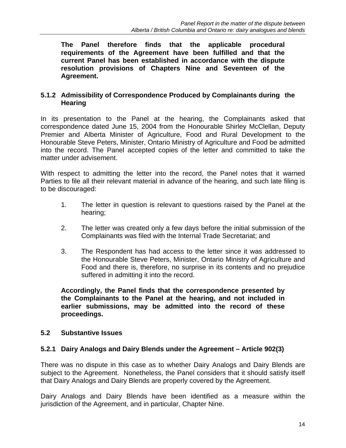**The Panel therefore finds that the applicable procedural requirements of the Agreement have been fulfilled and that the current Panel has been established in accordance with the dispute resolution provisions of Chapters Nine and Seventeen of the Agreement.** 

### **5.1.2 Admissibility of Correspondence Produced by Complainants during the Hearing**

In its presentation to the Panel at the hearing, the Complainants asked that correspondence dated June 15, 2004 from the Honourable Shirley McClellan, Deputy Premier and Alberta Minister of Agriculture, Food and Rural Development to the Honourable Steve Peters, Minister, Ontario Ministry of Agriculture and Food be admitted into the record. The Panel accepted copies of the letter and committed to take the matter under advisement.

With respect to admitting the letter into the record, the Panel notes that it warned Parties to file all their relevant material in advance of the hearing, and such late filing is to be discouraged:

- 1. The letter in question is relevant to questions raised by the Panel at the hearing;
- 2. The letter was created only a few days before the initial submission of the Complainants was filed with the Internal Trade Secretariat; and
- 3. The Respondent has had access to the letter since it was addressed to the Honourable Steve Peters, Minister, Ontario Ministry of Agriculture and Food and there is, therefore, no surprise in its contents and no prejudice suffered in admitting it into the record.

**Accordingly, the Panel finds that the correspondence presented by the Complainants to the Panel at the hearing, and not included in earlier submissions, may be admitted into the record of these proceedings.** 

### **5.2 Substantive Issues**

### **5.2.1 Dairy Analogs and Dairy Blends under the Agreement – Article 902(3)**

There was no dispute in this case as to whether Dairy Analogs and Dairy Blends are subject to the Agreement. Nonetheless, the Panel considers that it should satisfy itself that Dairy Analogs and Dairy Blends are properly covered by the Agreement.

Dairy Analogs and Dairy Blends have been identified as a measure within the jurisdiction of the Agreement, and in particular, Chapter Nine.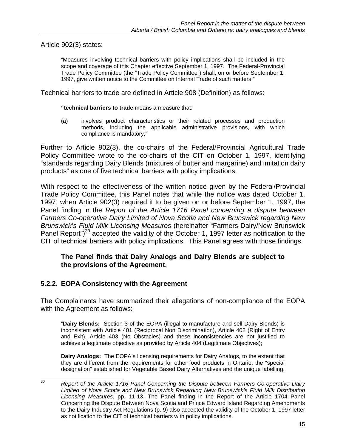Article 902(3) states:

"Measures involving technical barriers with policy implications shall be included in the scope and coverage of this Chapter effective September 1, 1997. The Federal-Provincial Trade Policy Committee (the "Trade Policy Committee") shall, on or before September 1, 1997, give written notice to the Committee on Internal Trade of such matters."

Technical barriers to trade are defined in Article 908 (Definition) as follows:

**"technical barriers to trade** means a measure that:

(a) involves product characteristics or their related processes and production methods, including the applicable administrative provisions, with which compliance is mandatory;"

Further to Article 902(3), the co-chairs of the Federal/Provincial Agricultural Trade Policy Committee wrote to the co-chairs of the CIT on October 1, 1997, identifying "standards regarding Dairy Blends (mixtures of butter and margarine) and imitation dairy products" as one of five technical barriers with policy implications.

With respect to the effectiveness of the written notice given by the Federal/Provincial Trade Policy Committee, this Panel notes that while the notice was dated October 1, 1997, when Article 902(3) required it to be given on or before September 1, 1997, the Panel finding in the *Report of the Article 1716 Panel concerning a dispute between Farmers Co-operative Dairy Limited of Nova Scotia and New Brunswick regarding New Brunswick's Fluid Milk Licensing Measures* (hereinafter "Farmers Dairy/New Brunswick Panel Report")<sup>30</sup> accepted the validity of the October 1, 1997 letter as notification to the CIT of technical barriers with policy implications. This Panel agrees with those findings.

#### **The Panel finds that Dairy Analogs and Dairy Blends are subject to the provisions of the Agreement.**

### **5.2.2. EOPA Consistency with the Agreement**

The Complainants have summarized their allegations of non-compliance of the EOPA with the Agreement as follows:

"**Dairy Blends:** Section 3 of the EOPA (illegal to manufacture and sell Dairy Blends) is inconsistent with Article 401 (Reciprocal Non Discrimination), Article 402 (Right of Entry and Exit), Article 403 (No Obstacles) and these inconsistencies are not justified to achieve a legitimate objective as provided by Article 404 (Legitimate Objectives);

**Dairy Analogs:** The EOPA's licensing requirements for Dairy Analogs, to the extent that they are different from the requirements for other food products in Ontario, the "special designation" established for Vegetable Based Dairy Alternatives and the unique labelling,

 $30<sup>2</sup>$ 30 *Report of the Article 1716 Panel Concerning the Dispute between Farmers Co-operative Dairy Limited of Nova Scotia and New Brunswick Regarding New Brunswick's Fluid Milk Distribution Licensing Measures*, pp. 11-13. The Panel finding in the Report of the Article 1704 Panel Concerning the Dispute Between Nova Scotia and Prince Edward Island Regarding Amendments to the Dairy Industry Act Regulations (p. 9) also accepted the validity of the October 1, 1997 letter as notification to the CIT of technical barriers with policy implications.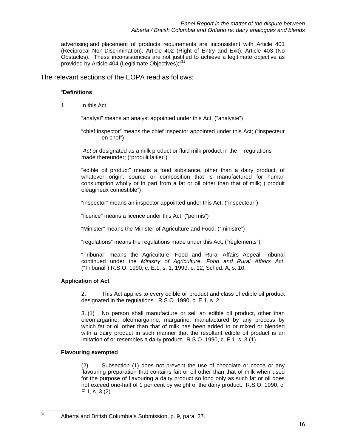advertising and placement of products requirements are inconsistent with Article 401 (Reciprocal Non-Discrimination), Article 402 (Right of Entry and Exit), Article 403 (No Obstacles). These inconsistencies are not justified to achieve a legitimate objective as provided by Article 404 (Legitimate Objectives);<sup>31</sup>

The relevant sections of the EOPA read as follows:

#### "**Definitions**

1. In this Act,

"analyst" means an analyst appointed under this Act; ("analyste")

"chief inspector" means the chief inspector appointed under this Act; ("inspecteur en chef")

 *Act* or designated as a milk product or fluid milk product in the regulations made thereunder; ("produit laitier")

"edible oil product" means a food substance, other than a dairy product, of whatever origin, source or composition that is manufactured for human consumption wholly or in part from a fat or oil other than that of milk; ("produit oléagineux comestible")

"inspector" means an inspector appointed under this Act; ("inspecteur")

"licence" means a licence under this Act; ("permis")

"Minister" means the Minister of Agriculture and Food; ("ministre")

"regulations" means the regulations made under this Act; ("règlements")

"Tribunal" means the Agriculture, Food and Rural Affairs Appeal Tribunal continued under the *Ministry of Agriculture, Food and Rural Affairs Act*. ("Tribunal") R.S.O. 1990, c. E.1, s. 1; 1999, c. 12, Sched. A, s. 10.

#### **Application of Act**

2. This Act applies to every edible oil product and class of edible oil product designated in the regulations. R.S.O. 1990, c. E.1, s. 2.

3. (1) No person shall manufacture or sell an edible oil product, other than oleomargarine, oleomargarine, margarine, manufactured by any process by which fat or oil other than that of milk has been added to or mixed or blended with a dairy product in such manner that the resultant edible oil product is an imitation of or resembles a dairy product. R.S.O. 1990, c. E.1, s. 3 (1).

#### **Flavouring exempted**

31

(2) Subsection (1) does not prevent the use of chocolate or cocoa or any flavouring preparation that contains fait or oil other than that of milk when used for the purpose of flavouring a dairy product so long only as such fat or oil does not exceed one-half of 1 per cent by weight of the dairy product. R.S.O. 1990, c. E.1, s. 3 (2).

Alberta and British Columbia's Submission, p. 9, para. 27.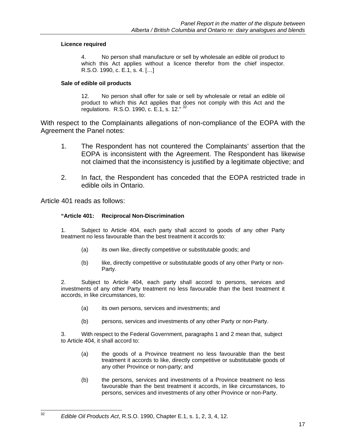#### **Licence required**

 4. No person shall manufacture or sell by wholesale an edible oil product to which this Act applies without a licence therefor from the chief inspector. R.S.O. 1990, c. E.1, s. 4. […]

#### **Sale of edible oil products**

 12. No person shall offer for sale or sell by wholesale or retail an edible oil product to which this Act applies that does not comply with this Act and the regulations. R.S.O. 1990, c. E.1, s. 12." 32

With respect to the Complainants allegations of non-compliance of the EOPA with the Agreement the Panel notes:

- 1. The Respondent has not countered the Complainants' assertion that the EOPA is inconsistent with the Agreement. The Respondent has likewise not claimed that the inconsistency is justified by a legitimate objective; and
- 2. In fact, the Respondent has conceded that the EOPA restricted trade in edible oils in Ontario.

Article 401 reads as follows:

32

#### **"Article 401: Reciprocal Non-Discrimination**

1. Subject to Article 404, each party shall accord to goods of any other Party treatment no less favourable than the best treatment it accords to:

- (a) its own like, directly competitive or substitutable goods; and
- (b) like, directly competitive or substitutable goods of any other Party or non- Party.

 2. Subject to Article 404, each party shall accord to persons, services and investments of any other Party treatment no less favourable than the best treatment it accords, in like circumstances, to:

- (a) its own persons, services and investments; and
- (b) persons, services and investments of any other Party or non-Party.

 3. With respect to the Federal Government, paragraphs 1 and 2 mean that, subject to Article 404, it shall accord to:

- (a) the goods of a Province treatment no less favourable than the best treatment it accords to like, directly competitive or substitutable goods of any other Province or non-party; and
- (b) the persons, services and investments of a Province treatment no less favourable than the best treatment it accords, in like circumstances, to persons, services and investments of any other Province or non-Party.

<sup>32</sup> *Edible Oil Products Act*, R.S.O. 1990, Chapter E.1, s. 1, 2, 3, 4, 12.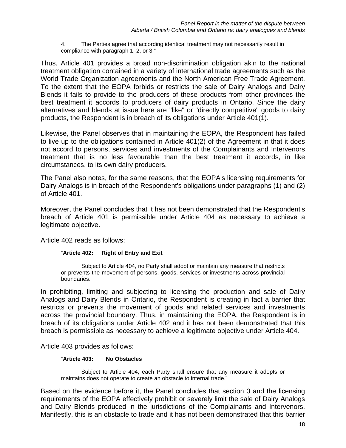4. The Parties agree that according identical treatment may not necessarily result in compliance with paragraph 1, 2, or 3."

Thus, Article 401 provides a broad non-discrimination obligation akin to the national treatment obligation contained in a variety of international trade agreements such as the World Trade Organization agreements and the North American Free Trade Agreement. To the extent that the EOPA forbids or restricts the sale of Dairy Analogs and Dairy Blends it fails to provide to the producers of these products from other provinces the best treatment it accords to producers of dairy products in Ontario. Since the dairy alternatives and blends at issue here are "like" or "directly competitive" goods to dairy products, the Respondent is in breach of its obligations under Article 401(1).

Likewise, the Panel observes that in maintaining the EOPA, the Respondent has failed to live up to the obligations contained in Article 401(2) of the Agreement in that it does not accord to persons, services and investments of the Complainants and Intervenors treatment that is no less favourable than the best treatment it accords, in like circumstances, to its own dairy producers.

The Panel also notes, for the same reasons, that the EOPA's licensing requirements for Dairy Analogs is in breach of the Respondent's obligations under paragraphs (1) and (2) of Article 401.

Moreover, the Panel concludes that it has not been demonstrated that the Respondent's breach of Article 401 is permissible under Article 404 as necessary to achieve a legitimate objective.

Article 402 reads as follows:

#### "**Article 402: Right of Entry and Exit**

Subject to Article 404, no Party shall adopt or maintain any measure that restricts or prevents the movement of persons, goods, services or investments across provincial boundaries."

In prohibiting, limiting and subjecting to licensing the production and sale of Dairy Analogs and Dairy Blends in Ontario, the Respondent is creating in fact a barrier that restricts or prevents the movement of goods and related services and investments across the provincial boundary. Thus, in maintaining the EOPA, the Respondent is in breach of its obligations under Article 402 and it has not been demonstrated that this breach is permissible as necessary to achieve a legitimate objective under Article 404.

Article 403 provides as follows:

#### "**Article 403: No Obstacles**

Subject to Article 404, each Party shall ensure that any measure it adopts or maintains does not operate to create an obstacle to internal trade."

Based on the evidence before it, the Panel concludes that section 3 and the licensing requirements of the EOPA effectively prohibit or severely limit the sale of Dairy Analogs and Dairy Blends produced in the jurisdictions of the Complainants and Intervenors. Manifestly, this is an obstacle to trade and it has not been demonstrated that this barrier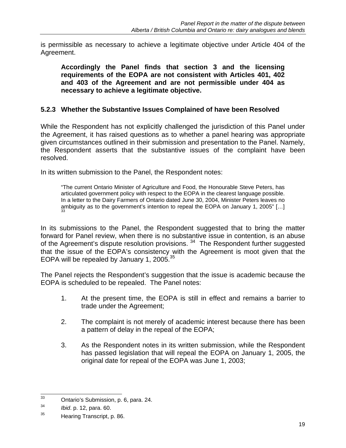is permissible as necessary to achieve a legitimate objective under Article 404 of the Agreement.

**Accordingly the Panel finds that section 3 and the licensing requirements of the EOPA are not consistent with Articles 401, 402 and 403 of the Agreement and are not permissible under 404 as necessary to achieve a legitimate objective.** 

### **5.2.3 Whether the Substantive Issues Complained of have been Resolved**

While the Respondent has not explicitly challenged the jurisdiction of this Panel under the Agreement, it has raised questions as to whether a panel hearing was appropriate given circumstances outlined in their submission and presentation to the Panel. Namely, the Respondent asserts that the substantive issues of the complaint have been resolved.

In its written submission to the Panel, the Respondent notes:

"The current Ontario Minister of Agriculture and Food, the Honourable Steve Peters, has articulated government policy with respect to the EOPA in the clearest language possible. In a letter to the Dairy Farmers of Ontario dated June 30, 2004, Minister Peters leaves no ambiguity as to the government's intention to repeal the EOPA on January 1, 2005" [...]

In its submissions to the Panel, the Respondent suggested that to bring the matter forward for Panel review, when there is no substantive issue in contention, is an abuse of the Agreement's dispute resolution provisions.<sup>34</sup> The Respondent further suggested that the issue of the EOPA's consistency with the Agreement is moot given that the EOPA will be repealed by January 1, 2005. $35$ 

The Panel rejects the Respondent's suggestion that the issue is academic because the EOPA is scheduled to be repealed. The Panel notes:

- 1. At the present time, the EOPA is still in effect and remains a barrier to trade under the Agreement;
- 2. The complaint is not merely of academic interest because there has been a pattern of delay in the repeal of the EOPA;
- 3. As the Respondent notes in its written submission, while the Respondent has passed legislation that will repeal the EOPA on January 1, 2005, the original date for repeal of the EOPA was June 1, 2003;

 $33<sup>3</sup>$ 33 Ontario's Submission, p. 6, para. 24.

<sup>34</sup> *Ibid*. p. 12, para. 60.

<sup>&</sup>lt;sup>35</sup> Hearing Transcript, p. 86.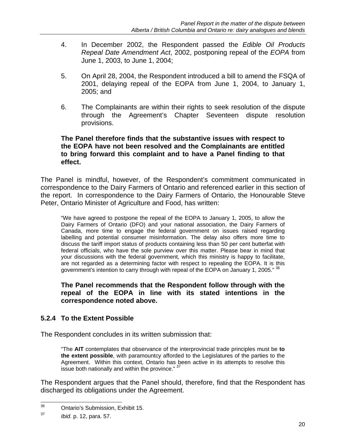- 4. In December 2002, the Respondent passed the *Edible Oil Products Repeal Date Amendment Act*, 2002, postponing repeal of the *EOPA* from June 1, 2003, to June 1, 2004;
- 5. On April 28, 2004, the Respondent introduced a bill to amend the FSQA of 2001, delaying repeal of the EOPA from June 1, 2004, to January 1, 2005; and
- 6. The Complainants are within their rights to seek resolution of the dispute through the Agreement's Chapter Seventeen dispute resolution provisions.

### **The Panel therefore finds that the substantive issues with respect to the EOPA have not been resolved and the Complainants are entitled to bring forward this complaint and to have a Panel finding to that effect.**

The Panel is mindful, however, of the Respondent's commitment communicated in correspondence to the Dairy Farmers of Ontario and referenced earlier in this section of the report. In correspondence to the Dairy Farmers of Ontario, the Honourable Steve Peter, Ontario Minister of Agriculture and Food, has written:

"We have agreed to postpone the repeal of the EOPA to January 1, 2005, to allow the Dairy Farmers of Ontario (DFO) and your national association, the Dairy Farmers of Canada, more time to engage the federal government on issues raised regarding labelling and potential consumer misinformation. The delay also offers more time to discuss the tariff import status of products containing less than 50 per cent butterfat with federal officials, who have the sole purview over this matter. Please bear in mind that your discussions with the federal government, which this ministry is happy to facilitate, are not regarded as a determining factor with respect to repealing the EOPA. It is this government's intention to carry through with repeal of the EOPA on January 1, 2005." <sup>36</sup>

**The Panel recommends that the Respondent follow through with the repeal of the EOPA in line with its stated intentions in the correspondence noted above.** 

## **5.2.4 To the Extent Possible**

The Respondent concludes in its written submission that:

"The **AIT** contemplates that observance of the interprovincial trade principles must be **to the extent possible**, with paramountcy afforded to the Legislatures of the parties to the Agreement. Within this context, Ontario has been active in its attempts to resolve this issue both nationally and within the province." <sup>37</sup>

The Respondent argues that the Panel should, therefore, find that the Respondent has discharged its obligations under the Agreement.

<sup>36</sup> **Ontario's Submission, Exhibit 15.** 

<sup>37</sup> *Ibid.* p. 12, para. 57.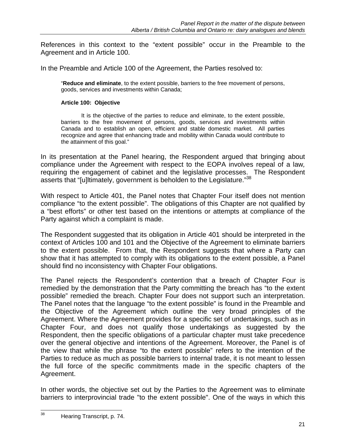References in this context to the "extent possible" occur in the Preamble to the Agreement and in Article 100.

In the Preamble and Article 100 of the Agreement, the Parties resolved to:

"**Reduce and eliminate**, to the extent possible, barriers to the free movement of persons, goods, services and investments within Canada;

#### **Article 100: Objective**

It is the objective of the parties to reduce and eliminate, to the extent possible, barriers to the free movement of persons, goods, services and investments within Canada and to establish an open, efficient and stable domestic market. All parties recognize and agree that enhancing trade and mobility within Canada would contribute to the attainment of this goal."

In its presentation at the Panel hearing, the Respondent argued that bringing about compliance under the Agreement with respect to the EOPA involves repeal of a law*,* requiring the engagement of cabinet and the legislative processes. The Respondent asserts that "[u]ltimately, government is beholden to the Legislature."38

With respect to Article 401, the Panel notes that Chapter Four itself does not mention compliance "to the extent possible". The obligations of this Chapter are not qualified by a "best efforts" or other test based on the intentions or attempts at compliance of the Party against which a complaint is made.

The Respondent suggested that its obligation in Article 401 should be interpreted in the context of Articles 100 and 101 and the Objective of the Agreement to eliminate barriers to the extent possible. From that, the Respondent suggests that where a Party can show that it has attempted to comply with its obligations to the extent possible, a Panel should find no inconsistency with Chapter Four obligations.

The Panel rejects the Respondent's contention that a breach of Chapter Four is remedied by the demonstration that the Party committing the breach has "to the extent possible" remedied the breach. Chapter Four does not support such an interpretation. The Panel notes that the language "to the extent possible" is found in the Preamble and the Objective of the Agreement which outline the very broad principles of the Agreement. Where the Agreement provides for a specific set of undertakings, such as in Chapter Four, and does not qualify those undertakings as suggested by the Respondent, then the specific obligations of a particular chapter must take precedence over the general objective and intentions of the Agreement. Moreover, the Panel is of the view that while the phrase "to the extent possible" refers to the intention of the Parties to reduce as much as possible barriers to internal trade, it is not meant to lessen the full force of the specific commitments made in the specific chapters of the Agreement.

In other words, the objective set out by the Parties to the Agreement was to eliminate barriers to interprovincial trade "to the extent possible". One of the ways in which this

<sup>38</sup> Hearing Transcript, p. 74.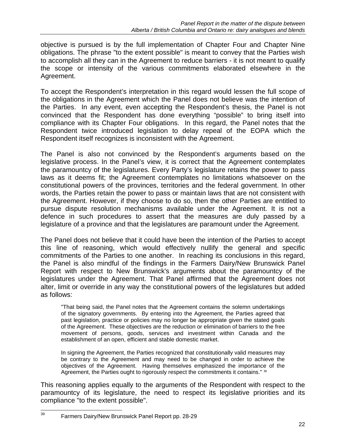objective is pursued is by the full implementation of Chapter Four and Chapter Nine obligations. The phrase "to the extent possible" is meant to convey that the Parties wish to accomplish all they can in the Agreement to reduce barriers - it is not meant to qualify the scope or intensity of the various commitments elaborated elsewhere in the Agreement.

To accept the Respondent's interpretation in this regard would lessen the full scope of the obligations in the Agreement which the Panel does not believe was the intention of the Parties. In any event, even accepting the Respondent's thesis, the Panel is not convinced that the Respondent has done everything "possible" to bring itself into compliance with its Chapter Four obligations. In this regard, the Panel notes that the Respondent twice introduced legislation to delay repeal of the EOPA which the Respondent itself recognizes is inconsistent with the Agreement.

The Panel is also not convinced by the Respondent's arguments based on the legislative process. In the Panel's view, it is correct that the Agreement contemplates the paramountcy of the legislatures. Every Party's legislature retains the power to pass laws as it deems fit; the Agreement contemplates no limitations whatsoever on the constitutional powers of the provinces, territories and the federal government. In other words, the Parties retain the power to pass or maintain laws that are not consistent with the Agreement. However, if they choose to do so, then the other Parties are entitled to pursue dispute resolution mechanisms available under the Agreement. It is not a defence in such procedures to assert that the measures are duly passed by a legislature of a province and that the legislatures are paramount under the Agreement.

The Panel does not believe that it could have been the intention of the Parties to accept this line of reasoning, which would effectively nullify the general and specific commitments of the Parties to one another. In reaching its conclusions in this regard, the Panel is also mindful of the findings in the Farmers Dairy/New Brunswick Panel Report with respect to New Brunswick's arguments about the paramountcy of the legislatures under the Agreement. That Panel affirmed that the Agreement does not alter, limit or override in any way the constitutional powers of the legislatures but added as follows:

"That being said, the Panel notes that the Agreement contains the solemn undertakings of the signatory governments. By entering into the Agreement, the Parties agreed that past legislation, practice or policies may no longer be appropriate given the stated goals of the Agreement. These objectives are the reduction or elimination of barriers to the free movement of persons, goods, services and investment within Canada and the establishment of an open, efficient and stable domestic market.

 In signing the Agreement, the Parties recognized that constitutionally valid measures may be contrary to the Agreement and may need to be changed in order to achieve the objectives of the Agreement. Having themselves emphasized the importance of the Agreement, the Parties ought to rigorously respect the commitments it contains." 39

This reasoning applies equally to the arguments of the Respondent with respect to the paramountcy of its legislature, the need to respect its legislative priorities and its compliance "to the extent possible".

<sup>39</sup> Farmers Dairy/New Brunswick Panel Report pp. 28-29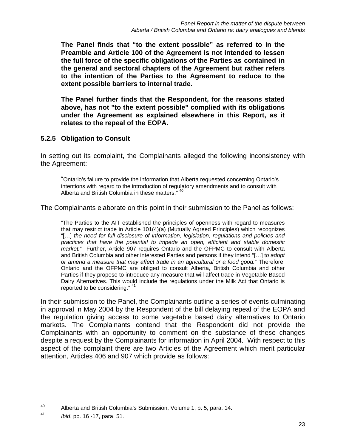**The Panel finds that "to the extent possible" as referred to in the Preamble and Article 100 of the Agreement is not intended to lessen the full force of the specific obligations of the Parties as contained in the general and sectoral chapters of the Agreement but rather refers to the intention of the Parties to the Agreement to reduce to the extent possible barriers to internal trade.** 

**The Panel further finds that the Respondent, for the reasons stated above, has not "to the extent possible" complied with its obligations under the Agreement as explained elsewhere in this Report, as it relates to the repeal of the EOPA.** 

## **5.2.5 Obligation to Consult**

In setting out its complaint, the Complainants alleged the following inconsistency with the Agreement:

 "Ontario's failure to provide the information that Alberta requested concerning Ontario's intentions with regard to the introduction of regulatory amendments and to consult with Alberta and British Columbia in these matters." 4

The Complainants elaborate on this point in their submission to the Panel as follows:

"The Parties to the AIT established the principles of openness with regard to measures that may restrict trade in Article 101(4)(a) (Mutually Agreed Principles) which recognizes "[…] *the need for full disclosure of information, legislation, regulations and policies and practices that have the potential to impede an open, efficient and stable domestic market.*" Further, Article 907 requires Ontario and the OFPMC to consult with Alberta and British Columbia and other interested Parties and persons if they intend "[…] t*o adopt or amend a measure that may affect trade in an agricultural or a food good.*" Therefore, Ontario and the OFPMC are obliged to consult Alberta, British Columbia and other Parties if they propose to introduce any measure that will affect trade in Vegetable Based Dairy Alternatives. This would include the regulations under the Milk Act that Ontario is reported to be considering."  $4^{\circ}$ 

In their submission to the Panel, the Complainants outline a series of events culminating in approval in May 2004 by the Respondent of the bill delaying repeal of the EOPA and the regulation giving access to some vegetable based dairy alternatives to Ontario markets. The Complainants contend that the Respondent did not provide the Complainants with an opportunity to comment on the substance of these changes despite a request by the Complainants for information in April 2004. With respect to this aspect of the complaint there are two Articles of the Agreement which merit particular attention, Articles 406 and 907 which provide as follows:

<sup>40</sup> Alberta and British Columbia's Submission, Volume 1, p. 5, para. 14.

<sup>41</sup> *Ibid*, pp. 16 -17, para. 51.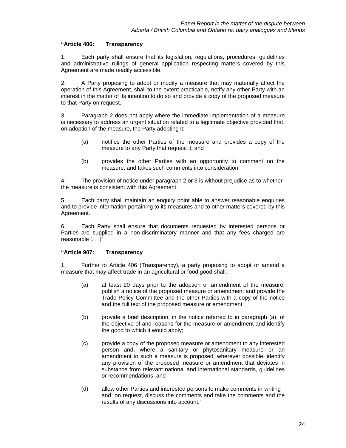#### **"Article 406: Transparency**

 1. Each party shall ensure that its legislation, regulations, procedures, guidelines and administrative rulings of general application respecting matters covered by this Agreement are made readily accessible.

 2. A Party proposing to adopt or modify a measure that may materially affect the operation of this Agreement, shall to the extent practicable, notify any other Party with an interest in the matter of its intention to do so and provide a copy of the proposed measure to that Party on request.

 3. Paragraph 2 does not apply where the immediate implementation of a measure is necessary to address an urgent situation related to a legitimate objective provided that, on adoption of the measure, the Party adopting it:

- (a) notifies the other Parties of the measure and provides a copy of the measure to any Party that request it; and
- (b) provides the other Parties with an opportunity to comment on the measure, and takes such comments into consideration.

 4. The provision of notice under paragraph 2 or 3 is without prejudice as to whether the measure is consistent with this Agreement.

 5. Each party shall maintain an enquiry point able to answer reasonable enquiries and to provide information pertaining to its measures and to other matters covered by this Agreement.

 6. Each Party shall ensure that documents requested by interested persons or Parties are supplied in a non-discriminatory manner and that any fees charged are reasonable [. . .]"

#### **"Article 907: Transparency**

 1. Further to Article 406 (Transparency), a party proposing to adopt or amend a measure that may affect trade in an agricultural or food good shall:

- (a) at least 20 days prior to the adoption or amendment of the measure, publish a notice of the proposed measure or amendment and provide the Trade Policy Committee and the other Parties with a copy of the notice and the full text of the proposed measure or amendment;
- (b) provide a brief description, in the notice referred to in paragraph (a), of the objective of and reasons for the measure or amendment and identify the good to which it would apply;
- (c) provide a copy of the proposed measure or amendment to any interested person and, where a sanitary or phytosanitary measure or an amendment to such a measure is proposed, wherever possible, identify any provision of the proposed measure or amendment that deviates in substance from relevant national and international standards, guidelines or recommendations; and
- (d) allow other Parties and interested persons to make comments in writing and, on request, discuss the comments and take the comments and the results of any discussions into account."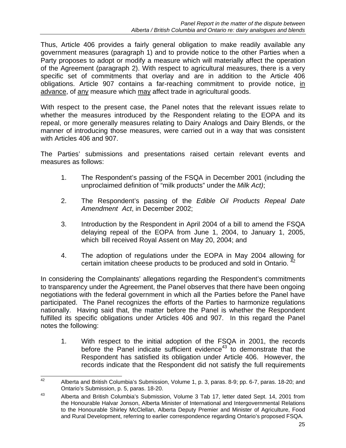Thus, Article 406 provides a fairly general obligation to make readily available any government measures (paragraph 1) and to provide notice to the other Parties when a Party proposes to adopt or modify a measure which will materially affect the operation of the Agreement (paragraph 2). With respect to agricultural measures, there is a very specific set of commitments that overlay and are in addition to the Article 406 obligations. Article 907 contains a far-reaching commitment to provide notice, in advance, of any measure which may affect trade in agricultural goods.

With respect to the present case, the Panel notes that the relevant issues relate to whether the measures introduced by the Respondent relating to the EOPA and its repeal, or more generally measures relating to Dairy Analogs and Dairy Blends, or the manner of introducing those measures, were carried out in a way that was consistent with Articles 406 and 907.

The Parties' submissions and presentations raised certain relevant events and measures as follows:

- 1. The Respondent's passing of the FSQA in December 2001 (including the unproclaimed definition of "milk products" under the *Milk Act)*;
- 2. The Respondent's passing of the *Edible Oil Products Repeal Date Amendment Act*, in December 2002;
- 3. Introduction by the Respondent in April 2004 of a bill to amend the FSQA delaying repeal of the EOPA from June 1, 2004, to January 1, 2005, which bill received Royal Assent on May 20, 2004; and
- 4. The adoption of regulations under the EOPA in May 2004 allowing for certain imitation cheese products to be produced and sold in Ontario.  $^{42}$

In considering the Complainants' allegations regarding the Respondent's commitments to transparency under the Agreement, the Panel observes that there have been ongoing negotiations with the federal government in which all the Parties before the Panel have participated. The Panel recognizes the efforts of the Parties to harmonize regulations nationally. Having said that, the matter before the Panel is whether the Respondent fulfilled its specific obligations under Articles 406 and 907. In this regard the Panel notes the following:

 1. With respect to the initial adoption of the FSQA in 2001, the records before the Panel indicate sufficient evidence $43$  to demonstrate that the Respondent has satisfied its obligation under Article 406. However, the records indicate that the Respondent did not satisfy the full requirements

<sup>42</sup> Alberta and British Columbia's Submission, Volume 1, p. 3, paras. 8-9; pp. 6-7, paras. 18-20; and Ontario's Submission, p. 5, paras. 18-20.

<sup>43</sup> Alberta and British Columbia's Submission, Volume 3 Tab 17, letter dated Sept. 14, 2001 from the Honourable Halvar Jonson, Alberta Minister of International and Intergovernmental Relations to the Honourable Shirley McClellan, Alberta Deputy Premier and Minister of Agriculture, Food and Rural Development, referring to earlier correspondence regarding Ontario's proposed FSQA.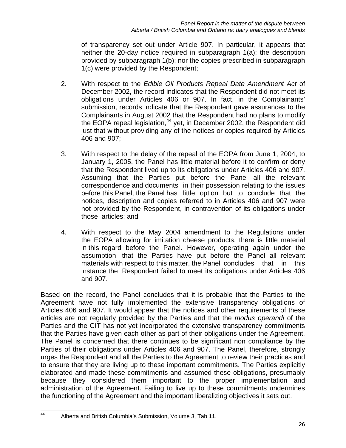of transparency set out under Article 907. In particular, it appears that neither the 20-day notice required in subparagraph 1(a); the description provided by subparagraph 1(b); nor the copies prescribed in subparagraph 1(c) were provided by the Respondent;

- 2. With respect to the *Edible Oil Products Repeal Date Amendment Act* of December 2002, the record indicates that the Respondent did not meet its obligations under Articles 406 or 907. In fact, in the Complainants' submission, records indicate that the Respondent gave assurances to the Complainants in August 2002 that the Respondent had no plans to modify the EOPA repeal legislation,<sup>44</sup> yet, in December 2002, the Respondent did just that without providing any of the notices or copies required by Articles 406 and 907;
- 3. With respect to the delay of the repeal of the EOPA from June 1, 2004, to January 1, 2005, the Panel has little material before it to confirm or deny that the Respondent lived up to its obligations under Articles 406 and 907. Assuming that the Parties put before the Panel all the relevant correspondence and documents in their possession relating to the issues before this Panel, the Panel has little option but to conclude that the notices, description and copies referred to in Articles 406 and 907 were not provided by the Respondent, in contravention of its obligations under those articles; and
- 4. With respect to the May 2004 amendment to the Regulations under the EOPA allowing for imitation cheese products, there is little material in this regard before the Panel. However, operating again under the assumption that the Parties have put before the Panel all relevant materials with respect to this matter, the Panel concludes that in this instance the Respondent failed to meet its obligations under Articles 406 and 907.

Based on the record, the Panel concludes that it is probable that the Parties to the Agreement have not fully implemented the extensive transparency obligations of Articles 406 and 907. It would appear that the notices and other requirements of these articles are not regularly provided by the Parties and that the *modus operandi* of the Parties and the CIT has not yet incorporated the extensive transparency commitments that the Parties have given each other as part of their obligations under the Agreement. The Panel is concerned that there continues to be significant non compliance by the Parties of their obligations under Articles 406 and 907. The Panel, therefore, strongly urges the Respondent and all the Parties to the Agreement to review their practices and to ensure that they are living up to these important commitments. The Parties explicitly elaborated and made these commitments and assumed these obligations, presumably because they considered them important to the proper implementation and administration of the Agreement. Failing to live up to these commitments undermines the functioning of the Agreement and the important liberalizing objectives it sets out.

<sup>44</sup> Alberta and British Columbia's Submission, Volume 3, Tab 11.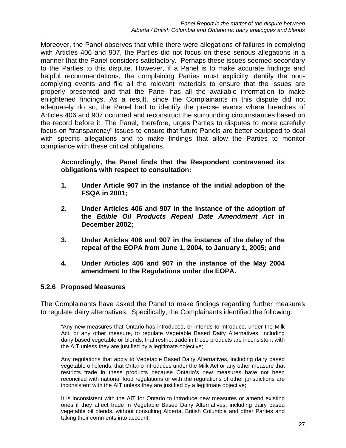Moreover, the Panel observes that while there were allegations of failures in complying with Articles 406 and 907, the Parties did not focus on these serious allegations in a manner that the Panel considers satisfactory. Perhaps these issues seemed secondary to the Parties to this dispute. However, if a Panel is to make accurate findings and helpful recommendations, the complaining Parties must explicitly identify the noncomplying events and file all the relevant materials to ensure that the issues are properly presented and that the Panel has all the available information to make enlightened findings. As a result, since the Complainants in this dispute did not adequately do so, the Panel had to identify the precise events where breaches of Articles 406 and 907 occurred and reconstruct the surrounding circumstances based on the record before it. The Panel, therefore, urges Parties to disputes to more carefully focus on "transparency" issues to ensure that future Panels are better equipped to deal with specific allegations and to make findings that allow the Parties to monitor compliance with these critical obligations.

### **Accordingly, the Panel finds that the Respondent contravened its obligations with respect to consultation:**

- **1. Under Article 907 in the instance of the initial adoption of the FSQA in 2001;**
- **2. Under Articles 406 and 907 in the instance of the adoption of the** *Edible Oil Products Repeal Date Amendment Act* **in December 2002;**
- **3. Under Articles 406 and 907 in the instance of the delay of the repeal of the EOPA from June 1, 2004, to January 1, 2005; and**
- **4. Under Articles 406 and 907 in the instance of the May 2004 amendment to the Regulations under the EOPA.**

### **5.2.6 Proposed Measures**

The Complainants have asked the Panel to make findings regarding further measures to regulate dairy alternatives. Specifically, the Complainants identified the following:

"Any new measures that Ontario has introduced, or intends to introduce, under the Milk Act, or any other measure, to regulate Vegetable Based Dairy Alternatives, including dairy based vegetable oil blends, that restrict trade in these products are inconsistent with the AIT unless they are justified by a legitimate objective;

Any regulations that apply to Vegetable Based Dairy Alternatives, including dairy based vegetable oil blends, that Ontario introduces under the Milk Act or any other measure that restricts trade in these products because Ontario's new measures have not been reconciled with national food regulations or with the regulations of other jurisdictions are inconsistent with the AIT unless they are justified by a legitimate objective;

It is inconsistent with the AIT for Ontario to introduce new measures or amend existing ones if they affect trade in Vegetable Based Dairy Alternatives, including dairy based vegetable oil blends, without consulting Alberta, British Columbia and other Parties and taking their comments into account;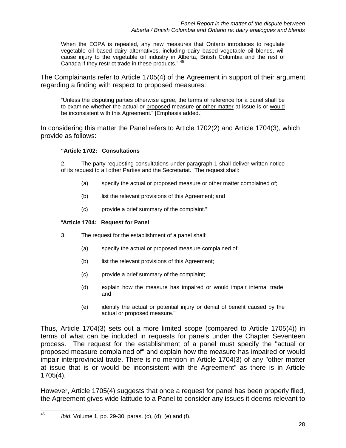When the EOPA is repealed, any new measures that Ontario introduces to regulate vegetable oil based dairy alternatives, including dairy based vegetable oil blends, will cause injury to the vegetable oil industry in Alberta, British Columbia and the rest of Canada if they restrict trade in these products." 45

The Complainants refer to Article 1705(4) of the Agreement in support of their argument regarding a finding with respect to proposed measures:

"Unless the disputing parties otherwise agree, the terms of reference for a panel shall be to examine whether the actual or proposed measure or other matter at issue is or would be inconsistent with this Agreement." [Emphasis added.]

In considering this matter the Panel refers to Article 1702(2) and Article 1704(3), which provide as follows:

#### **"Article 1702: Consultations**

2. The party requesting consultations under paragraph 1 shall deliver written notice of its request to all other Parties and the Secretariat. The request shall:

- (a) specify the actual or proposed measure or other matter complained of;
- (b) list the relevant provisions of this Agreement; and
- (c) provide a brief summary of the complaint."

#### "**Article 1704: Request for Panel**

- 3. The request for the establishment of a panel shall:
	- (a) specify the actual or proposed measure complained of;
	- (b) list the relevant provisions of this Agreement;
	- (c) provide a brief summary of the complaint;
	- (d) explain how the measure has impaired or would impair internal trade; and
	- (e) identify the actual or potential injury or denial of benefit caused by the actual or proposed measure."

Thus, Article 1704(3) sets out a more limited scope (compared to Article 1705(4)) in terms of what can be included in requests for panels under the Chapter Seventeen process. The request for the establishment of a panel must specify the "actual or proposed measure complained of" and explain how the measure has impaired or would impair interprovincial trade. There is no mention in Article 1704(3) of any "other matter at issue that is or would be inconsistent with the Agreement" as there is in Article 1705(4).

However, Article 1705(4) suggests that once a request for panel has been properly filed, the Agreement gives wide latitude to a Panel to consider any issues it deems relevant to

<sup>45</sup> *Ibid.* Volume 1, pp. 29-30, paras. (c), (d), (e) and (f).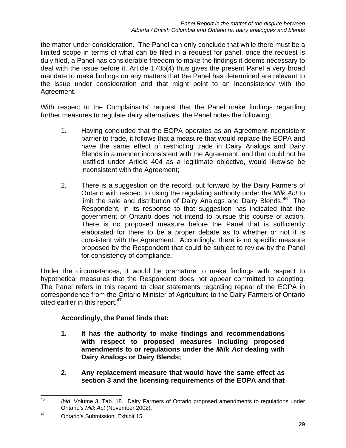the matter under consideration. The Panel can only conclude that while there must be a limited scope in terms of what can be filed in a request for panel, once the request is duly filed, a Panel has considerable freedom to make the findings it deems necessary to deal with the issue before it. Article 1705(4) thus gives the present Panel a very broad mandate to make findings on any matters that the Panel has determined are relevant to the issue under consideration and that might point to an inconsistency with the Agreement.

With respect to the Complainants' request that the Panel make findings regarding further measures to regulate dairy alternatives, the Panel notes the following:

- 1. Having concluded that the EOPA operates as an Agreement-inconsistent barrier to trade, it follows that a measure that would replace the EOPA and have the same effect of restricting trade in Dairy Analogs and Dairy Blends in a manner inconsistent with the Agreement, and that could not be justified under Article 404 as a legitimate objective, would likewise be inconsistent with the Agreement;
- 2. There is a suggestion on the record, put forward by the Dairy Farmers of Ontario with respect to using the regulating authority under the *Milk Act* to limit the sale and distribution of Dairy Analogs and Dairy Blends. $46$  The Respondent, in its response to that suggestion has indicated that the government of Ontario does not intend to pursue this course of action. There is no proposed measure before the Panel that is sufficiently elaborated for there to be a proper debate as to whether or not it is consistent with the Agreement. Accordingly, there is no specific measure proposed by the Respondent that could be subject to review by the Panel for consistency of compliance.

Under the circumstances, it would be premature to make findings with respect to hypothetical measures that the Respondent does not appear committed to adopting. The Panel refers in this regard to clear statements regarding repeal of the EOPA in correspondence from the Ontario Minister of Agriculture to the Dairy Farmers of Ontario cited earlier in this report.<sup>47</sup>

## **Accordingly, the Panel finds that:**

- **1. It has the authority to make findings and recommendations with respect to proposed measures including proposed amendments to or regulations under the** *Milk Act* **dealing with Dairy Analogs or Dairy Blends;**
- **2. Any replacement measure that would have the same effect as section 3 and the licensing requirements of the EOPA and that**

<sup>46</sup> Ibid. Volume 3, Tab. 18. Dairy Farmers of Ontario proposed amendments to regulations under Ontario's *Milk Act* (November 2002).

<sup>47</sup> Ontario's Submission, Exhibit 15.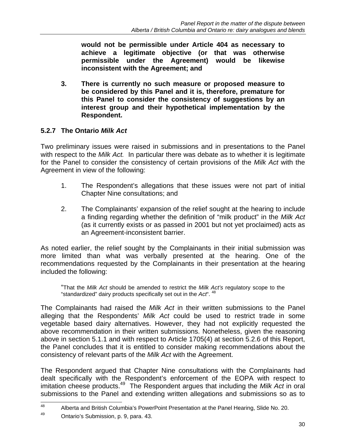**would not be permissible under Article 404 as necessary to achieve a legitimate objective (or that was otherwise permissible under the Agreement) would be likewise inconsistent with the Agreement; and** 

**3. There is currently no such measure or proposed measure to be considered by this Panel and it is, therefore, premature for this Panel to consider the consistency of suggestions by an interest group and their hypothetical implementation by the Respondent.** 

### **5.2.7 The Ontario** *Milk Act*

Two preliminary issues were raised in submissions and in presentations to the Panel with respect to the *Milk Act.* In particular there was debate as to whether it is legitimate for the Panel to consider the consistency of certain provisions of the *Milk Act* with the Agreement in view of the following:

- 1. The Respondent's allegations that these issues were not part of initial Chapter Nine consultations; and
- 2. The Complainants' expansion of the relief sought at the hearing to include a finding regarding whether the definition of "milk product" in the *Milk Act* (as it currently exists or as passed in 2001 but not yet proclaimed) acts as an Agreement-inconsistent barrier.

As noted earlier, the relief sought by the Complainants in their initial submission was more limited than what was verbally presented at the hearing. One of the recommendations requested by the Complainants in their presentation at the hearing included the following:

 "That the *Milk Act* should be amended to restrict the *Milk Act's* regulatory scope to the "standardized" dairy products specifically set out in the *Act*". 48

The Complainants had raised the *Milk Act* in their written submissions to the Panel alleging that the Respondents' *Milk Act* could be used to restrict trade in some vegetable based dairy alternatives. However, they had not explicitly requested the above recommendation in their written submissions. Nonetheless, given the reasoning above in section 5.1.1 and with respect to Article 1705(4) at section 5.2.6 of this Report, the Panel concludes that it is entitled to consider making recommendations about the consistency of relevant parts of the *Milk Act* with the Agreement.

The Respondent argued that Chapter Nine consultations with the Complainants had dealt specifically with the Respondent's enforcement of the EOPA with respect to imitation cheese products.49 The Respondent argues that including the *Milk Act* in oral submissions to the Panel and extending written allegations and submissions so as to

<sup>48</sup> Alberta and British Columbia's PowerPoint Presentation at the Panel Hearing, Slide No. 20.

<sup>49</sup> Ontario's Submission, p. 9, para. 43.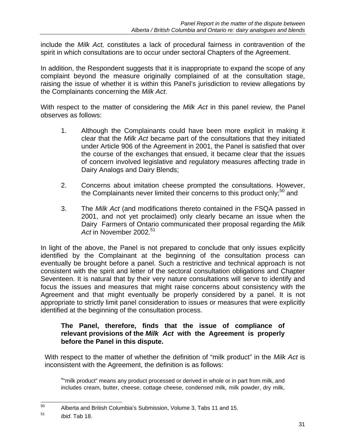include the *Milk Act,* constitutes a lack of procedural fairness in contravention of the spirit in which consultations are to occur under sectoral Chapters of the Agreement.

In addition, the Respondent suggests that it is inappropriate to expand the scope of any complaint beyond the measure originally complained of at the consultation stage, raising the issue of whether it is within this Panel's jurisdiction to review allegations by the Complainants concerning the *Milk Act*.

With respect to the matter of considering the *Milk Act* in this panel review, the Panel observes as follows:

- 1. Although the Complainants could have been more explicit in making it clear that the *Milk Act* became part of the consultations that they initiated under Article 906 of the Agreement in 2001, the Panel is satisfied that over the course of the exchanges that ensued, it became clear that the issues of concern involved legislative and regulatory measures affecting trade in Dairy Analogs and Dairy Blends;
- 2. Concerns about imitation cheese prompted the consultations. However, the Complainants never limited their concerns to this product only;<sup>50</sup> and
- 3. The *Milk Act* (and modifications thereto contained in the FSQA passed in 2001, and not yet proclaimed) only clearly became an issue when the Dairy Farmers of Ontario communicated their proposal regarding the *Milk Act* in November 2002*.* 51

In light of the above, the Panel is not prepared to conclude that only issues explicitly identified by the Complainant at the beginning of the consultation process can eventually be brought before a panel. Such a restrictive and technical approach is not consistent with the spirit and letter of the sectoral consultation obligations and Chapter Seventeen. It is natural that by their very nature consultations will serve to identify and focus the issues and measures that might raise concerns about consistency with the Agreement and that might eventually be properly considered by a panel. It is not appropriate to strictly limit panel consideration to issues or measures that were explicitly identified at the beginning of the consultation process.

### **The Panel, therefore, finds that the issue of compliance of relevant provisions of the** *Milk Act* **with the Agreement is properly before the Panel in this dispute.**

With respect to the matter of whether the definition of "milk product" in the *Milk Act* is inconsistent with the Agreement, the definition is as follows:

 ""milk product" means any product processed or derived in whole or in part from milk, and includes cream, butter, cheese, cottage cheese, condensed milk, milk powder, dry milk,

<sup>50</sup> Alberta and British Columbia's Submission, Volume 3, Tabs 11 and 15.

<sup>51</sup> *Ibid*. Tab 18.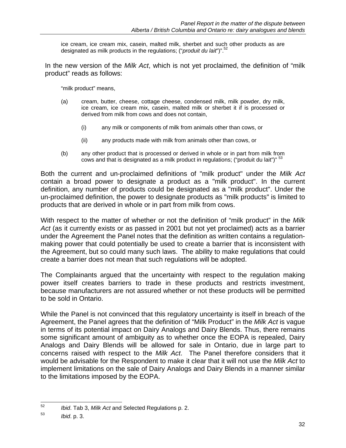ice cream, ice cream mix, casein, malted milk, sherbet and such other products as are designated as milk products in the regulations; ("*produit du lait*")".52

In the new version of the *Milk Act*, which is not yet proclaimed, the definition of "milk product" reads as follows:

"milk product" means,

- (a) cream, butter, cheese, cottage cheese, condensed milk, milk powder, dry milk, ice cream, ice cream mix, casein, malted milk or sherbet it if is processed or derived from milk from cows and does not contain,
	- (i) any milk or components of milk from animals other than cows, or
	- (ii) any products made with milk from animals other than cows, or
- (b) any other product that is processed or derived in whole or in part from milk from cows and that is designated as a milk product in regulations; ("produit du lait")" <sup>53</sup>

Both the current and un-proclaimed definitions of "milk product" under the *Milk Act* contain a broad power to designate a product as a "milk product". In the current definition, any number of products could be designated as a "milk product". Under the un-proclaimed definition, the power to designate products as "milk products" is limited to products that are derived in whole or in part from milk from cows.

With respect to the matter of whether or not the definition of "milk product" in the *Milk Act* (as it currently exists or as passed in 2001 but not yet proclaimed) acts as a barrier under the Agreement the Panel notes that the definition as written contains a regulationmaking power that could potentially be used to create a barrier that is inconsistent with the Agreement, but so could many such laws. The ability to make regulations that could create a barrier does not mean that such regulations will be adopted.

The Complainants argued that the uncertainty with respect to the regulation making power itself creates barriers to trade in these products and restricts investment, because manufacturers are not assured whether or not these products will be permitted to be sold in Ontario.

While the Panel is not convinced that this regulatory uncertainty is itself in breach of the Agreement, the Panel agrees that the definition of "Milk Product" in the *Milk Act* is vague in terms of its potential impact on Dairy Analogs and Dairy Blends. Thus, there remains some significant amount of ambiguity as to whether once the EOPA is repealed, Dairy Analogs and Dairy Blends will be allowed for sale in Ontario, due in large part to concerns raised with respect to the *Milk Act*. The Panel therefore considers that it would be advisable for the Respondent to make it clear that it will not use the *Milk Act* to implement limitations on the sale of Dairy Analogs and Dairy Blends in a manner similar to the limitations imposed by the EOPA.

<sup>52</sup> 52 *Ibid*. Tab 3, *Milk Act* and Selected Regulations p. 2.

<sup>53</sup> *Ibid*. p. 3.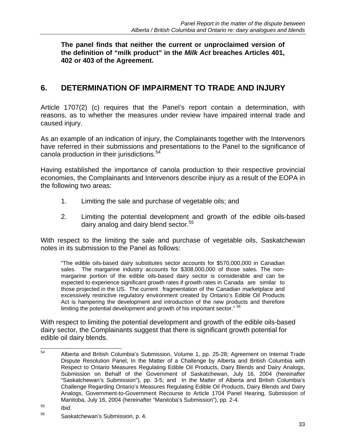**The panel finds that neither the current or unproclaimed version of the definition of "milk product" in the** *Milk Act* **breaches Articles 401, 402 or 403 of the Agreement.** 

# **6. DETERMINATION OF IMPAIRMENT TO TRADE AND INJURY**

Article 1707(2) (c) requires that the Panel's report contain a determination, with reasons, as to whether the measures under review have impaired internal trade and caused injury.

As an example of an indication of injury, the Complainants together with the Intervenors have referred in their submissions and presentations to the Panel to the significance of canola production in their jurisdictions.<sup>54</sup>

Having established the importance of canola production to their respective provincial economies, the Complainants and Intervenors describe injury as a result of the EOPA in the following two areas:

- 1. Limiting the sale and purchase of vegetable oils; and
- 2. Limiting the potential development and growth of the edible oils-based dairy analog and dairy blend sector.<sup>55</sup>

With respect to the limiting the sale and purchase of vegetable oils, Saskatchewan notes in its submission to the Panel as follows:

 "The edible oils-based dairy substitutes sector accounts for \$570,000,000 in Canadian sales. The margarine industry accounts for \$308,000,000 of those sales. The nonmargarine portion of the edible oils-based dairy sector is considerable and can be expected to experience significant growth rates if growth rates in Canada are similar to those projected in the US. The current fragmentation of the Canadian marketplace and excessively restrictive regulatory environment created by Ontario's Edible Oil Products Act is hampering the development and introduction of the new products and therefore limiting the potential development and growth of his important sector." <sup>56</sup>

With respect to limiting the potential development and growth of the edible oils-based dairy sector, the Complainants suggest that there is significant growth potential for edible oil dairy blends.

<sup>54</sup> Alberta and British Columbia's Submission, Volume 1, pp. 25-28; Agreement on Internal Trade Dispute Resolution Panel, In the Matter of a Challenge by Alberta and British Columbia with Respect to Ontario Measures Regulating Edible Oil Products, Dairy Blends and Dairy Analogs, Submission on Behalf of the Government of Saskatchewan, July 16, 2004 (hereinafter "Saskatchewan's Submission"), pp. 3-5; and In the Matter of Alberta and British Columbia's Challenge Regarding Ontario's Measures Regulating Edible Oil Products, Dairy Blends and Dairy Analogs, Government-to-Government Recourse to Article 1704 Panel Hearing, Submission of Manitoba, July 16, 2004 (hereinafter "Manitoba's Submission"), pp. 2-4.

<sup>&</sup>lt;sup>55</sup> *Ibid.*<br><sup>56</sup> Saskatchewan's Submission, p. 4.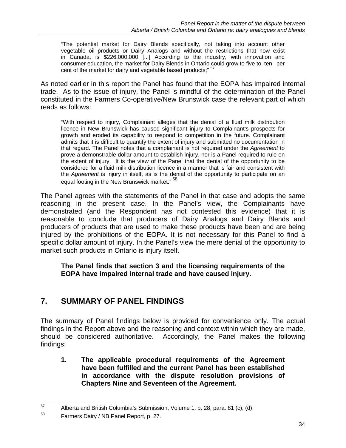"The potential market for Dairy Blends specifically, not taking into account other vegetable oil products or Dairy Analogs and without the restrictions that now exist in Canada, is \$226,000,000 [...] According to the industry, with innovation and consumer education, the market for Dairy Blends in Ontario could grow to five to ten per cent of the market for dairy and vegetable based products;"

As noted earlier in this report the Panel has found that the EOPA has impaired internal trade. As to the issue of injury, the Panel is mindful of the determination of the Panel constituted in the Farmers Co-operative/New Brunswick case the relevant part of which reads as follows:

"With respect to injury, Complainant alleges that the denial of a fluid milk distribution licence in New Brunswick has caused significant injury to Complainant's prospects for growth and eroded its capability to respond to competition in the future. Complainant admits that it is difficult to quantify the extent of injury and submitted no documentation in that regard. The Panel notes that a complainant is not required under the *Agreement* to prove a demonstrable dollar amount to establish injury, nor is a Panel required to rule on the extent of injury. It is the view of the Panel that the denial of the opportunity to be considered for a fluid milk distribution licence in a manner that is fair and consistent with the *Agreement* is injury in itself, as is the denial of the opportunity to participate on an equal footing in the New Brunswick market." 58

The Panel agrees with the statements of the Panel in that case and adopts the same reasoning in the present case. In the Panel's view, the Complainants have demonstrated (and the Respondent has not contested this evidence) that it is reasonable to conclude that producers of Dairy Analogs and Dairy Blends and producers of products that are used to make these products have been and are being injured by the prohibitions of the EOPA. It is not necessary for this Panel to find a specific dollar amount of injury. In the Panel's view the mere denial of the opportunity to market such products in Ontario is injury itself.

**The Panel finds that section 3 and the licensing requirements of the EOPA have impaired internal trade and have caused injury.** 

## **7. SUMMARY OF PANEL FINDINGS**

The summary of Panel findings below is provided for convenience only. The actual findings in the Report above and the reasoning and context within which they are made, should be considered authoritative. Accordingly, the Panel makes the following findings:

**1. The applicable procedural requirements of the Agreement have been fulfilled and the current Panel has been established in accordance with the dispute resolution provisions of Chapters Nine and Seventeen of the Agreement.** 

<sup>57</sup> Alberta and British Columbia's Submission, Volume 1, p. 28, para. 81 (c), (d).

<sup>58</sup> Farmers Dairy / NB Panel Report, p. 27.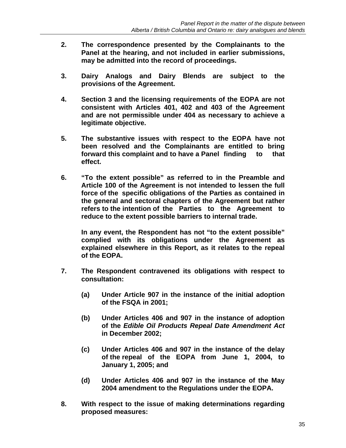- **2. The correspondence presented by the Complainants to the Panel at the hearing, and not included in earlier submissions, may be admitted into the record of proceedings.**
- **3. Dairy Analogs and Dairy Blends are subject to the provisions of the Agreement.**
- **4. Section 3 and the licensing requirements of the EOPA are not consistent with Articles 401, 402 and 403 of the Agreement and are not permissible under 404 as necessary to achieve a legitimate objective.**
- **5. The substantive issues with respect to the EOPA have not been resolved and the Complainants are entitled to bring forward this complaint and to have a Panel finding to that effect.**
- **6. "To the extent possible" as referred to in the Preamble and Article 100 of the Agreement is not intended to lessen the full force of the specific obligations of the Parties as contained in the general and sectoral chapters of the Agreement but rather refers to the intention of the Parties to the Agreement to reduce to the extent possible barriers to internal trade.**

 **In any event, the Respondent has not "to the extent possible" complied with its obligations under the Agreement as explained elsewhere in this Report, as it relates to the repeal of the EOPA.** 

- **7. The Respondent contravened its obligations with respect to consultation:** 
	- **(a) Under Article 907 in the instance of the initial adoption of the FSQA in 2001;**
	- **(b) Under Articles 406 and 907 in the instance of adoption of the** *Edible Oil Products Repeal Date Amendment Act*  **in December 2002;**
	- **(c) Under Articles 406 and 907 in the instance of the delay of the repeal of the EOPA from June 1, 2004, to January 1, 2005; and**
	- **(d) Under Articles 406 and 907 in the instance of the May 2004 amendment to the Regulations under the EOPA.**
- **8. With respect to the issue of making determinations regarding proposed measures:**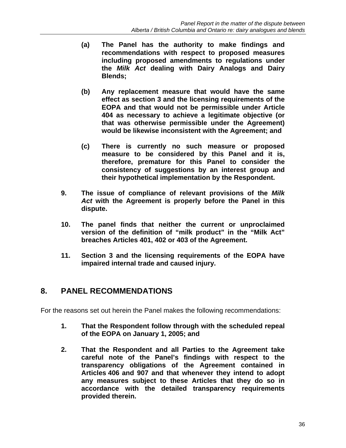- **(a) The Panel has the authority to make findings and recommendations with respect to proposed measures including proposed amendments to regulations under the** *Milk Act* **dealing with Dairy Analogs and Dairy Blends;**
- **(b) Any replacement measure that would have the same effect as section 3 and the licensing requirements of the EOPA and that would not be permissible under Article 404 as necessary to achieve a legitimate objective (or that was otherwise permissible under the Agreement) would be likewise inconsistent with the Agreement; and**
- **(c) There is currently no such measure or proposed measure to be considered by this Panel and it is, therefore, premature for this Panel to consider the consistency of suggestions by an interest group and their hypothetical implementation by the Respondent.**
- **9. The issue of compliance of relevant provisions of the** *Milk Act* **with the Agreement is properly before the Panel in this dispute.**
- **10. The panel finds that neither the current or unproclaimed version of the definition of "milk product" in the "Milk Act" breaches Articles 401, 402 or 403 of the Agreement.**
- **11. Section 3 and the licensing requirements of the EOPA have impaired internal trade and caused injury.**

## **8. PANEL RECOMMENDATIONS**

For the reasons set out herein the Panel makes the following recommendations:

- **1. That the Respondent follow through with the scheduled repeal of the EOPA on January 1, 2005; and**
- **2. That the Respondent and all Parties to the Agreement take careful note of the Panel's findings with respect to the transparency obligations of the Agreement contained in Articles 406 and 907 and that whenever they intend to adopt any measures subject to these Articles that they do so in accordance with the detailed transparency requirements provided therein.**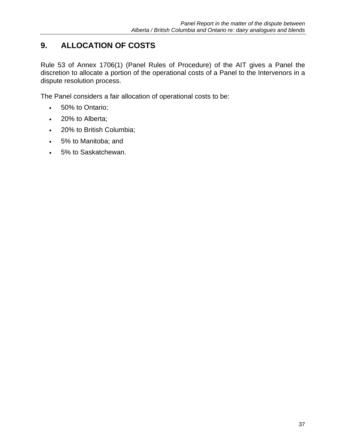# **9. ALLOCATION OF COSTS**

Rule 53 of Annex 1706(1) (Panel Rules of Procedure) of the AIT gives a Panel the discretion to allocate a portion of the operational costs of a Panel to the Intervenors in a dispute resolution process.

The Panel considers a fair allocation of operational costs to be:

- 50% to Ontario;
- $\cdot$  20% to Alberta;
- 20% to British Columbia;
- 5% to Manitoba; and
- 5% to Saskatchewan.